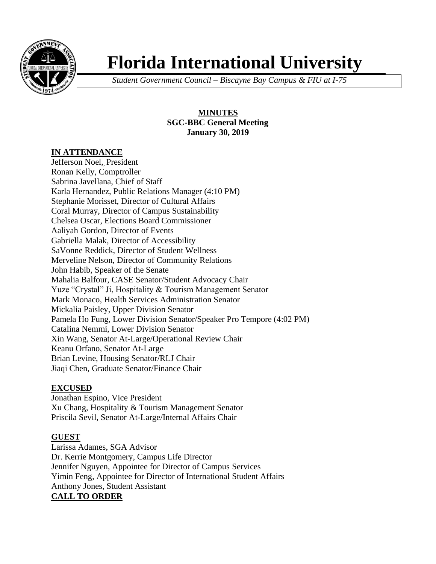

# **Florida International University**

*Student Government Council – Biscayne Bay Campus & FIU at I-75*

## **MINUTES SGC-BBC General Meeting January 30, 2019**

## **IN ATTENDANCE**

Jefferson Noel, President Ronan Kelly, Comptroller Sabrina Javellana, Chief of Staff Karla Hernandez, Public Relations Manager (4:10 PM) Stephanie Morisset, Director of Cultural Affairs Coral Murray, Director of Campus Sustainability Chelsea Oscar, Elections Board Commissioner Aaliyah Gordon, Director of Events Gabriella Malak, Director of Accessibility SaVonne Reddick, Director of Student Wellness Merveline Nelson, Director of Community Relations John Habib, Speaker of the Senate Mahalia Balfour, CASE Senator/Student Advocacy Chair Yuze "Crystal" Ji, Hospitality & Tourism Management Senator Mark Monaco, Health Services Administration Senator Mickalia Paisley, Upper Division Senator Pamela Ho Fung, Lower Division Senator/Speaker Pro Tempore (4:02 PM) Catalina Nemmi, Lower Division Senator Xin Wang, Senator At-Large/Operational Review Chair Keanu Orfano, Senator At-Large Brian Levine, Housing Senator/RLJ Chair Jiaqi Chen, Graduate Senator/Finance Chair

## **EXCUSED**

Jonathan Espino, Vice President Xu Chang, Hospitality & Tourism Management Senator Priscila Sevil, Senator At-Large/Internal Affairs Chair

## **GUEST**

Larissa Adames, SGA Advisor Dr. Kerrie Montgomery, Campus Life Director Jennifer Nguyen, Appointee for Director of Campus Services Yimin Feng, Appointee for Director of International Student Affairs Anthony Jones, Student Assistant **CALL TO ORDER**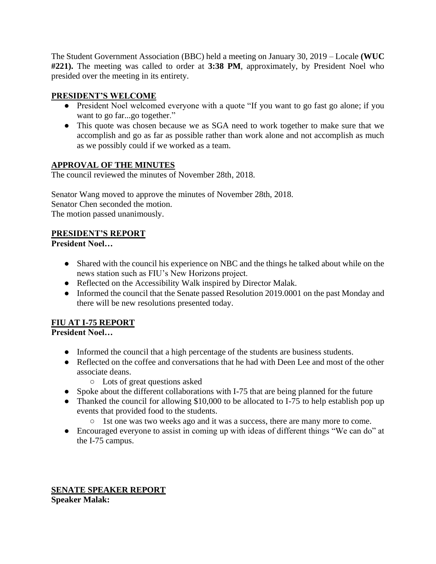The Student Government Association (BBC) held a meeting on January 30, 2019 – Locale **(WUC #221).** The meeting was called to order at **3:38 PM**, approximately, by President Noel who presided over the meeting in its entirety.

# **PRESIDENT'S WELCOME**

- President Noel welcomed everyone with a quote "If you want to go fast go alone; if you want to go far...go together."
- This quote was chosen because we as SGA need to work together to make sure that we accomplish and go as far as possible rather than work alone and not accomplish as much as we possibly could if we worked as a team.

# **APPROVAL OF THE MINUTES**

The council reviewed the minutes of November 28th, 2018.

Senator Wang moved to approve the minutes of November 28th, 2018. Senator Chen seconded the motion. The motion passed unanimously.

# **PRESIDENT'S REPORT**

**President Noel…**

- Shared with the council his experience on NBC and the things he talked about while on the news station such as FIU's New Horizons project.
- Reflected on the Accessibility Walk inspired by Director Malak.
- Informed the council that the Senate passed Resolution 2019.0001 on the past Monday and there will be new resolutions presented today.

# **FIU AT I-75 REPORT**

# **President Noel…**

- Informed the council that a high percentage of the students are business students.
- Reflected on the coffee and conversations that he had with Deen Lee and most of the other associate deans.
	- Lots of great questions asked
- Spoke about the different collaborations with I-75 that are being planned for the future
- Thanked the council for allowing \$10,000 to be allocated to I-75 to help establish pop up events that provided food to the students.
	- 1st one was two weeks ago and it was a success, there are many more to come.
- Encouraged everyone to assist in coming up with ideas of different things "We can do" at the I-75 campus.

**SENATE SPEAKER REPORT Speaker Malak:**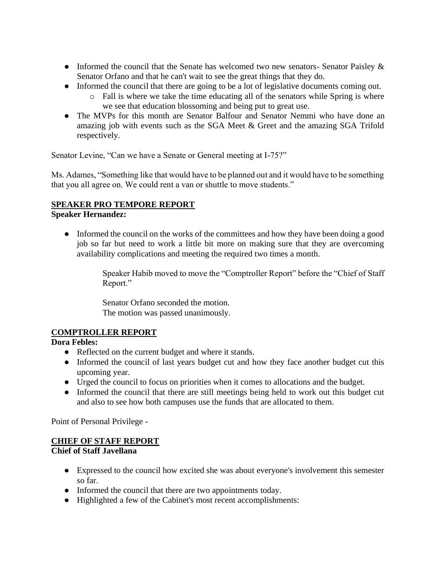- Informed the council that the Senate has welcomed two new senators- Senator Paisley & Senator Orfano and that he can't wait to see the great things that they do.
- Informed the council that there are going to be a lot of legislative documents coming out.
	- o Fall is where we take the time educating all of the senators while Spring is where we see that education blossoming and being put to great use.
- The MVPs for this month are Senator Balfour and Senator Nemmi who have done an amazing job with events such as the SGA Meet & Greet and the amazing SGA Trifold respectively.

Senator Levine, "Can we have a Senate or General meeting at I-75?"

Ms. Adames, "Something like that would have to be planned out and it would have to be something that you all agree on. We could rent a van or shuttle to move students."

## **SPEAKER PRO TEMPORE REPORT**

## **Speaker Hernandez:**

● Informed the council on the works of the committees and how they have been doing a good job so far but need to work a little bit more on making sure that they are overcoming availability complications and meeting the required two times a month.

> Speaker Habib moved to move the "Comptroller Report" before the "Chief of Staff Report."

Senator Orfano seconded the motion. The motion was passed unanimously.

# **COMPTROLLER REPORT**

## **Dora Febles:**

- Reflected on the current budget and where it stands.
- Informed the council of last years budget cut and how they face another budget cut this upcoming year.
- Urged the council to focus on priorities when it comes to allocations and the budget.
- Informed the council that there are still meetings being held to work out this budget cut and also to see how both campuses use the funds that are allocated to them.

Point of Personal Privilege -

# **CHIEF OF STAFF REPORT**

## **Chief of Staff Javellana**

- Expressed to the council how excited she was about everyone's involvement this semester so far.
- Informed the council that there are two appointments today.
- Highlighted a few of the Cabinet's most recent accomplishments: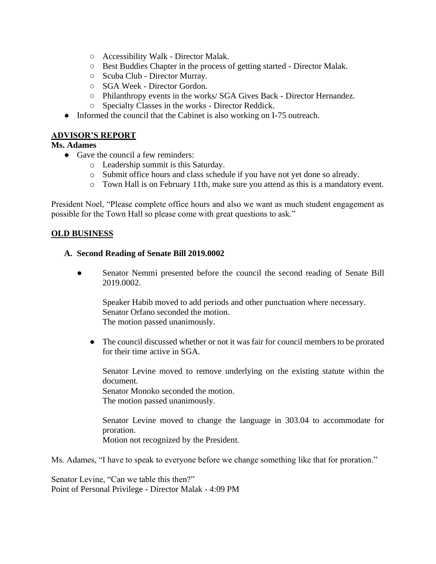- Accessibility Walk Director Malak.
- Best Buddies Chapter in the process of getting started Director Malak.
- Scuba Club Director Murray.
- SGA Week Director Gordon.
- Philanthropy events in the works/ SGA Gives Back Director Hernandez.
- Specialty Classes in the works Director Reddick.
- Informed the council that the Cabinet is also working on I-75 outreach.

## **ADVISOR'S REPORT**

#### **Ms. Adames**

- Gave the council a few reminders:
	- o Leadership summit is this Saturday.
	- o Submit office hours and class schedule if you have not yet done so already.
	- o Town Hall is on February 11th, make sure you attend as this is a mandatory event.

President Noel, "Please complete office hours and also we want as much student engagement as possible for the Town Hall so please come with great questions to ask."

#### **OLD BUSINESS**

#### **A. Second Reading of Senate Bill 2019.0002**

• Senator Nemmi presented before the council the second reading of Senate Bill 2019.0002.

Speaker Habib moved to add periods and other punctuation where necessary. Senator Orfano seconded the motion. The motion passed unanimously.

• The council discussed whether or not it was fair for council members to be prorated for their time active in SGA.

Senator Levine moved to remove underlying on the existing statute within the document. Senator Monoko seconded the motion. The motion passed unanimously.

Senator Levine moved to change the language in 303.04 to accommodate for proration. Motion not recognized by the President.

Ms. Adames, "I have to speak to everyone before we change something like that for proration."

Senator Levine, "Can we table this then?" Point of Personal Privilege - Director Malak - 4:09 PM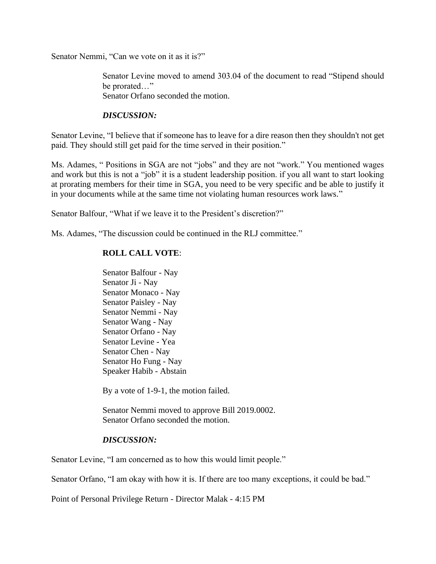Senator Nemmi, "Can we vote on it as it is?"

Senator Levine moved to amend 303.04 of the document to read "Stipend should be prorated…" Senator Orfano seconded the motion.

#### *DISCUSSION:*

Senator Levine, "I believe that if someone has to leave for a dire reason then they shouldn't not get paid. They should still get paid for the time served in their position."

Ms. Adames, " Positions in SGA are not "jobs" and they are not "work." You mentioned wages and work but this is not a "job" it is a student leadership position. if you all want to start looking at prorating members for their time in SGA, you need to be very specific and be able to justify it in your documents while at the same time not violating human resources work laws."

Senator Balfour, "What if we leave it to the President's discretion?"

Ms. Adames, "The discussion could be continued in the RLJ committee."

## **ROLL CALL VOTE**:

Senator Balfour - Nay Senator Ji - Nay Senator Monaco - Nay Senator Paisley - Nay Senator Nemmi - Nay Senator Wang - Nay Senator Orfano - Nay Senator Levine - Yea Senator Chen - Nay Senator Ho Fung - Nay Speaker Habib - Abstain

By a vote of 1-9-1, the motion failed.

Senator Nemmi moved to approve Bill 2019.0002. Senator Orfano seconded the motion.

#### *DISCUSSION:*

Senator Levine, "I am concerned as to how this would limit people."

Senator Orfano, "I am okay with how it is. If there are too many exceptions, it could be bad."

Point of Personal Privilege Return - Director Malak - 4:15 PM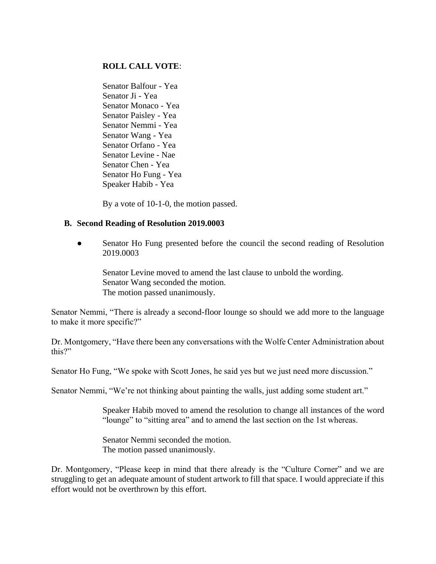#### **ROLL CALL VOTE**:

Senator Balfour - Yea Senator Ji - Yea Senator Monaco - Yea Senator Paisley - Yea Senator Nemmi - Yea Senator Wang - Yea Senator Orfano - Yea Senator Levine - Nae Senator Chen - Yea Senator Ho Fung - Yea Speaker Habib - Yea

By a vote of 10-1-0, the motion passed.

#### **B. Second Reading of Resolution 2019.0003**

● Senator Ho Fung presented before the council the second reading of Resolution 2019.0003

Senator Levine moved to amend the last clause to unbold the wording. Senator Wang seconded the motion. The motion passed unanimously.

Senator Nemmi, "There is already a second-floor lounge so should we add more to the language to make it more specific?"

Dr. Montgomery, "Have there been any conversations with the Wolfe Center Administration about this?"

Senator Ho Fung, "We spoke with Scott Jones, he said yes but we just need more discussion."

Senator Nemmi, "We're not thinking about painting the walls, just adding some student art."

Speaker Habib moved to amend the resolution to change all instances of the word "lounge" to "sitting area" and to amend the last section on the 1st whereas.

Senator Nemmi seconded the motion. The motion passed unanimously.

Dr. Montgomery, "Please keep in mind that there already is the "Culture Corner" and we are struggling to get an adequate amount of student artwork to fill that space. I would appreciate if this effort would not be overthrown by this effort.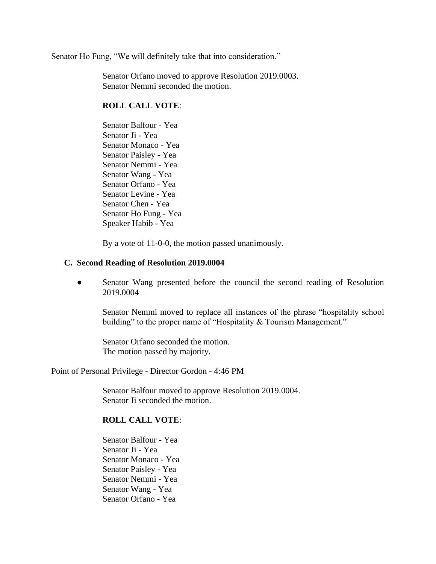Senator Ho Fung, "We will definitely take that into consideration."

Senator Orfano moved to approve Resolution 2019.0003. Senator Nemmi seconded the motion.

#### **ROLL CALL VOTE**:

Senator Balfour - Yea Senator Ji - Yea Senator Monaco - Yea Senator Paisley - Yea Senator Nemmi - Yea Senator Wang - Yea Senator Orfano - Yea Senator Levine - Yea Senator Chen - Yea Senator Ho Fung - Yea Speaker Habib - Yea

By a vote of 11-0-0, the motion passed unanimously.

#### **C. Second Reading of Resolution 2019.0004**

• Senator Wang presented before the council the second reading of Resolution 2019.0004

Senator Nemmi moved to replace all instances of the phrase "hospitality school building" to the proper name of "Hospitality & Tourism Management."

Senator Orfano seconded the motion. The motion passed by majority.

Point of Personal Privilege - Director Gordon - 4:46 PM

Senator Balfour moved to approve Resolution 2019.0004. Senator Ji seconded the motion.

## **ROLL CALL VOTE**:

Senator Balfour - Yea Senator Ji - Yea Senator Monaco - Yea Senator Paisley - Yea Senator Nemmi - Yea Senator Wang - Yea Senator Orfano - Yea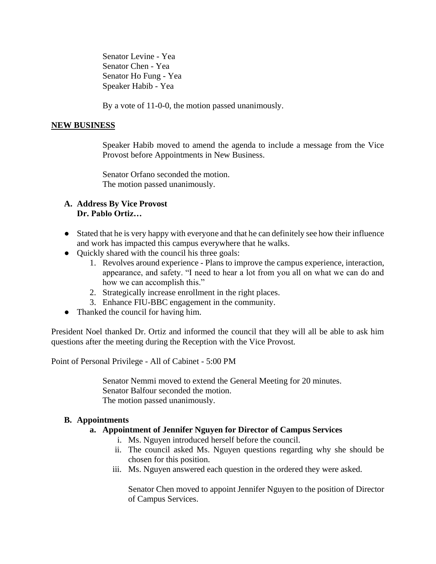Senator Levine - Yea Senator Chen - Yea Senator Ho Fung - Yea Speaker Habib - Yea

By a vote of 11-0-0, the motion passed unanimously.

#### **NEW BUSINESS**

Speaker Habib moved to amend the agenda to include a message from the Vice Provost before Appointments in New Business.

Senator Orfano seconded the motion. The motion passed unanimously.

#### **A. Address By Vice Provost Dr. Pablo Ortiz…**

- Stated that he is very happy with everyone and that he can definitely see how their influence and work has impacted this campus everywhere that he walks.
- Quickly shared with the council his three goals:
	- 1. Revolves around experience Plans to improve the campus experience, interaction, appearance, and safety. "I need to hear a lot from you all on what we can do and how we can accomplish this."
	- 2. Strategically increase enrollment in the right places.
	- 3. Enhance FIU-BBC engagement in the community.
- Thanked the council for having him.

President Noel thanked Dr. Ortiz and informed the council that they will all be able to ask him questions after the meeting during the Reception with the Vice Provost.

Point of Personal Privilege - All of Cabinet - 5:00 PM

Senator Nemmi moved to extend the General Meeting for 20 minutes. Senator Balfour seconded the motion. The motion passed unanimously.

#### **B. Appointments**

#### **a. Appointment of Jennifer Nguyen for Director of Campus Services**

- i. Ms. Nguyen introduced herself before the council.
- ii. The council asked Ms. Nguyen questions regarding why she should be chosen for this position.
- iii. Ms. Nguyen answered each question in the ordered they were asked.

Senator Chen moved to appoint Jennifer Nguyen to the position of Director of Campus Services.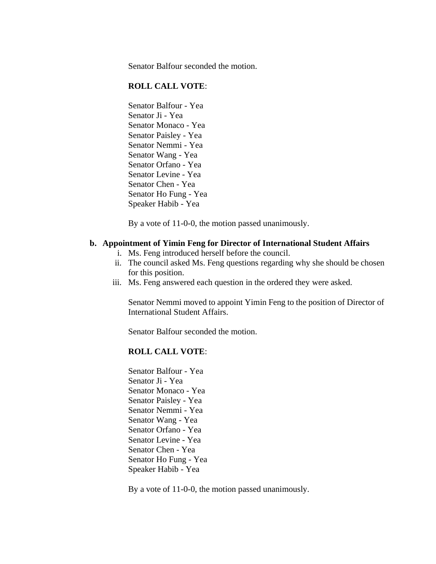Senator Balfour seconded the motion.

#### **ROLL CALL VOTE**:

Senator Balfour - Yea Senator Ji - Yea Senator Monaco - Yea Senator Paisley - Yea Senator Nemmi - Yea Senator Wang - Yea Senator Orfano - Yea Senator Levine - Yea Senator Chen - Yea Senator Ho Fung - Yea Speaker Habib - Yea

By a vote of 11-0-0, the motion passed unanimously.

#### **b. Appointment of Yimin Feng for Director of International Student Affairs**

- i. Ms. Feng introduced herself before the council.
- ii. The council asked Ms. Feng questions regarding why she should be chosen for this position.
- iii. Ms. Feng answered each question in the ordered they were asked.

Senator Nemmi moved to appoint Yimin Feng to the position of Director of International Student Affairs.

Senator Balfour seconded the motion.

#### **ROLL CALL VOTE**:

Senator Balfour - Yea Senator Ji - Yea Senator Monaco - Yea Senator Paisley - Yea Senator Nemmi - Yea Senator Wang - Yea Senator Orfano - Yea Senator Levine - Yea Senator Chen - Yea Senator Ho Fung - Yea Speaker Habib - Yea

By a vote of 11-0-0, the motion passed unanimously.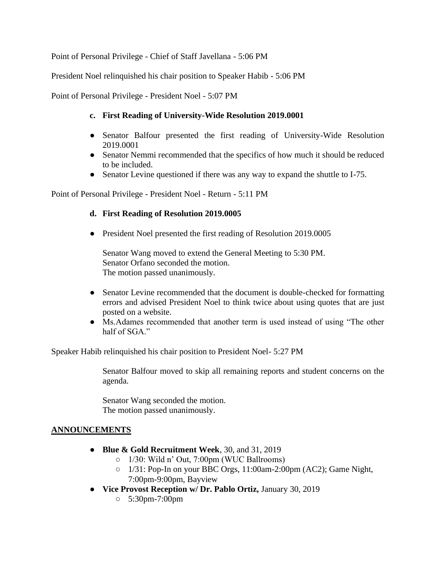Point of Personal Privilege - Chief of Staff Javellana - 5:06 PM

President Noel relinquished his chair position to Speaker Habib - 5:06 PM

Point of Personal Privilege - President Noel - 5:07 PM

## **c. First Reading of University-Wide Resolution 2019.0001**

- Senator Balfour presented the first reading of University-Wide Resolution 2019.0001
- Senator Nemmi recommended that the specifics of how much it should be reduced to be included.
- Senator Levine questioned if there was any way to expand the shuttle to I-75.

Point of Personal Privilege - President Noel - Return - 5:11 PM

## **d. First Reading of Resolution 2019.0005**

● President Noel presented the first reading of Resolution 2019.0005

Senator Wang moved to extend the General Meeting to 5:30 PM. Senator Orfano seconded the motion. The motion passed unanimously.

- Senator Levine recommended that the document is double-checked for formatting errors and advised President Noel to think twice about using quotes that are just posted on a website.
- Ms.Adames recommended that another term is used instead of using "The other half of SGA."

Speaker Habib relinquished his chair position to President Noel- 5:27 PM

Senator Balfour moved to skip all remaining reports and student concerns on the agenda.

Senator Wang seconded the motion. The motion passed unanimously.

# **ANNOUNCEMENTS**

- **Blue & Gold Recruitment Week**, 30, and 31, 2019
	- 1/30: Wild n' Out, 7:00pm (WUC Ballrooms)
	- 1/31: Pop-In on your BBC Orgs, 11:00am-2:00pm (AC2); Game Night, 7:00pm-9:00pm, Bayview
- **Vice Provost Reception w/ Dr. Pablo Ortiz,** January 30, 2019
	- 5:30pm-7:00pm